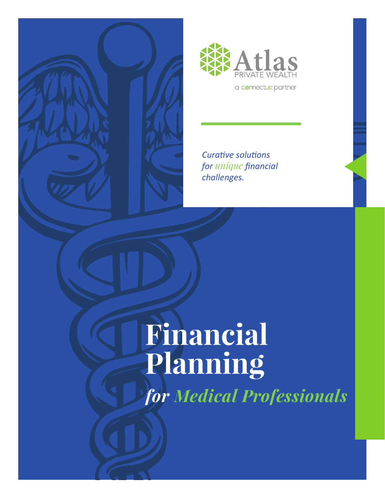



*Curative solutions for unique financial challenges.*

# **Financial Planning**

*for Medical Professionals*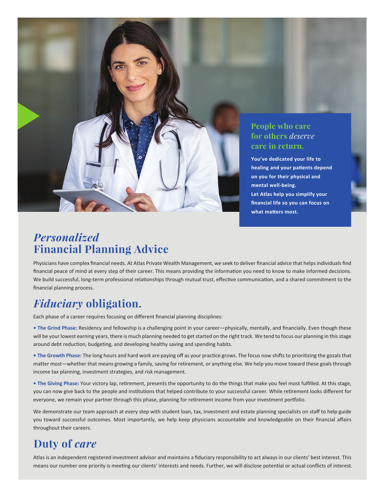

#### *Personalized* **Financial Planning Advice**

Physicians have complex financial needs. At Atlas Private Wealth Management, we seek to deliver financial advice that helps individuals find financial peace of mind at every step of their career. This means providing the information you need to know to make informed decisions. We build successful, long-term professional relationships through mutual trust, effective communication, and a shared commitment to the financial planning process.

# *Fiduciary* **obligation.**

Each phase of a career requires focusing on different financial planning disciplines:

**• The Grind Phase:** Residency and fellowship is a challenging point in your career—physically, mentally, and financially. Even though these will be your lowest earning years, there is much planning needed to get started on the right track. We tend to focus our planning in this stage around debt reduction, budgeting, and developing healthy saving and spending habits.

**• The Growth Phase:** The long hours and hard work are paying off as your practice grows. The focus now shifts to prioritizing the gozals that matter most—whether that means growing a family, saving for retirement, or anything else. We help you move toward these goals through income tax planning, investment strategies, and risk management.

**• The Giving Phase:** Your victory lap, retirement, presents the opportunity to do the things that make you feel most fulfilled. At this stage, you can now give back to the people and institutions that helped contribute to your successful career. While retirement looks different for everyone, we remain your partner through this phase, planning for retirement income from your investment portfolio.

We demonstrate our team approach at every step with student loan, tax, investment and estate planning specialists on staff to help guide you toward successful outcomes. Most importantly, we help keep physicians accountable and knowledgeable on their financial affairs throughout their careers.

## **Duty of** *care*

Atlas is an independent registered investment advisor and maintains a fiduciary responsibility to act always in our clients' best interest. This means our number one priority is meeting our clients' interests and needs. Further, we will disclose potential or actual conflicts of interest.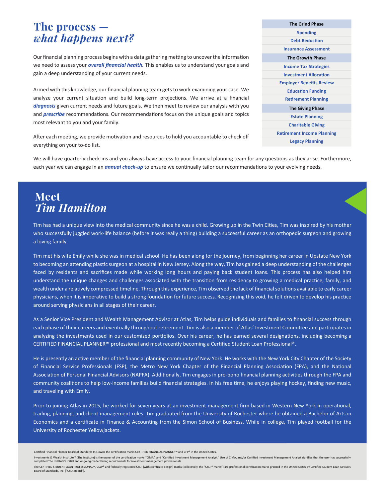#### **The process**  *what happens next?*

Our financial planning process begins with a data gathering metting to uncover the information we need to assess your *overall financial health.* This enables us to understand your goals and gain a deep understanding of your current needs.

Armed with this knowledge, our financial planning team gets to work examining your case. We analyze your current situation and build long-term projections. We arrive at a financial *diagnosis* given current needs and future goals. We then meet to review our analysis with you and *prescribe* recommendations. Our recommendations focus on the unique goals and topics most relevant to you and your family.

After each meeting, we provide motivation and resources to hold you accountable to check off everything on your to-do list.

We will have quarterly check-ins and you always have access to your financial planning team for any questions as they arise. Furthermore, each year we can engage in an *annual check-up* to ensure we continually tailor our recommendations to your evolving needs.

### **Meet** *Tim Hamilton*

Tim has had a unique view into the medical community since he was a child. Growing up in the Twin Cities, Tim was inspired by his mother who successfully juggled work-life balance (before it was really a thing) building a successful career as an orthopedic surgeon and growing a loving family.

Tim met his wife Emily while she was in medical school. He has been along for the journey, from beginning her career in Upstate New York to becoming an attending plastic surgeon at a hospital in New Jersey. Along the way, Tim has gained a deep understanding of the challenges faced by residents and sacrifices made while working long hours and paying back student loans. This process has also helped him understand the unique changes and challenges associated with the transition from residency to growing a medical practice, family, and wealth under a relatively compressed timeline. Through this experience, Tim observed the lack of financial solutions available to early career physicians, when it is imperative to build a strong foundation for future success. Recognizing this void, he felt driven to develop his practice around serving physicians in all stages of their career.

As a Senior Vice President and Wealth Management Advisor at Atlas, Tim helps guide individuals and families to financial success through each phase of their careers and eventually throughout retirement. Tim is also a member of Atlas' Investment Committee and participates in analyzing the investments used in our customized portfolios. Over his career, he has earned several designations, including becoming a CERTIFIED FINANCIAL PLANNER™ professional and most recently becoming a Certified Student Loan Professional®.

He is presently an active member of the financial planning community of New York. He works with the New York City Chapter of the Society of Financial Service Professionals (FSP), the Metro New York Chapter of the Financial Planning Association (FPA), and the National Association of Personal Financial Advisors (NAPFA). Additionally, Tim engages in pro-bono financial planning activities through the FPA and community coalitions to help low-income families build financial strategies. In his free time, he enjoys playing hockey, finding new music, and traveling with Emily.

Prior to joining Atlas in 2015, he worked for seven years at an investment management firm based in Western New York in operational, trading, planning, and client management roles. Tim graduated from the University of Rochester where he obtained a Bachelor of Arts in Economics and a certificate in Finance & Accounting from the Simon School of Business. While in college, Tim played football for the University of Rochester Yellowjackets.

Certified Financial Planner Board of Standards Inc. owns the certification marks CERTIFIED FINANCIAL PLANNER™ and CFP® in the United States.

The CERTIFIED STUDENT LOAN PROFESSIONAL™, CSLP® and federally registered CSLP (with certificate design) marks (collectively, the "CSLP® marks") are professional certification marks granted in the United States by Certified Board of Standards, Inc. ("CSLA Board").

| <b>The Grind Phase</b>            |
|-----------------------------------|
| <b>Spending</b>                   |
| <b>Debt Reduction</b>             |
| <b>Insurance Assessment</b>       |
| <b>The Growth Phase</b>           |
| <b>Income Tax Strategies</b>      |
| <b>Investment Allocation</b>      |
| <b>Employer Benefits Review</b>   |
| <b>Education Funding</b>          |
| <b>Retirement Planning</b>        |
| <b>The Giving Phase</b>           |
| <b>Estate Planning</b>            |
| <b>Charitable Giving</b>          |
| <b>Retirement Income Planning</b> |
| <b>Legacy Planning</b>            |
|                                   |

Investments & Wealth Institute™ (The Institute) is the owner of the certification marks "CIMA," and "Certified Investment Management Analyst." Use of CIMA, and/or Certified Investment Management Analyst signifies that the